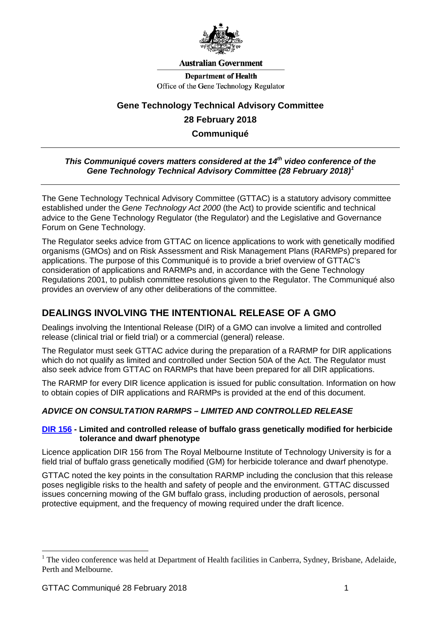

#### **Australian Government**

**Department of Health** Office of the Gene Technology Regulator

# **Gene Technology Technical Advisory Committee 28 February 2018 Communiqué**

# *This Communiqué covers matters considered at the 14<sup>th</sup> video conference of the Gene Technology Technical Advisory Committee (28 February 2018) [1](#page-0-0)*

The Gene Technology Technical Advisory Committee (GTTAC) is a statutory advisory committee established under the *Gene Technology Act 2000* (the Act) to provide scientific and technical advice to the Gene Technology Regulator (the Regulator) and the Legislative and Governance Forum on Gene Technology.

The Regulator seeks advice from GTTAC on licence applications to work with genetically modified organisms (GMOs) and on Risk Assessment and Risk Management Plans (RARMPs) prepared for applications. The purpose of this Communiqué is to provide a brief overview of GTTAC's consideration of applications and RARMPs and, in accordance with the Gene Technology Regulations 2001, to publish committee resolutions given to the Regulator. The Communiqué also provides an overview of any other deliberations of the committee.

# **DEALINGS INVOLVING THE INTENTIONAL RELEASE OF A GMO**

Dealings involving the Intentional Release (DIR) of a GMO can involve a limited and controlled release (clinical trial or field trial) or a commercial (general) release.

The Regulator must seek GTTAC advice during the preparation of a RARMP for DIR applications which do not qualify as limited and controlled under Section 50A of the Act. The Regulator must also seek advice from GTTAC on RARMPs that have been prepared for all DIR applications.

The RARMP for every DIR licence application is issued for public consultation. Information on how to obtain copies of DIR applications and RARMPs is provided at the end of this document.

### *ADVICE ON CONSULTATION RARMPS – LIMITED AND CONTROLLED RELEASE*

#### **[DIR 156](http://www.ogtr.gov.au/internet/ogtr/publishing.nsf/Content/DIR156) - Limited and controlled release of buffalo grass genetically modified for herbicide tolerance and dwarf phenotype**

Licence application DIR 156 from The Royal Melbourne Institute of Technology University is for a field trial of buffalo grass genetically modified (GM) for herbicide tolerance and dwarf phenotype.

GTTAC noted the key points in the consultation RARMP including the conclusion that this release poses negligible risks to the health and safety of people and the environment. GTTAC discussed issues concerning mowing of the GM buffalo grass, including production of aerosols, personal protective equipment, and the frequency of mowing required under the draft licence.

-

<span id="page-0-0"></span><sup>&</sup>lt;sup>1</sup> The video conference was held at Department of Health facilities in Canberra, Sydney, Brisbane, Adelaide, Perth and Melbourne.